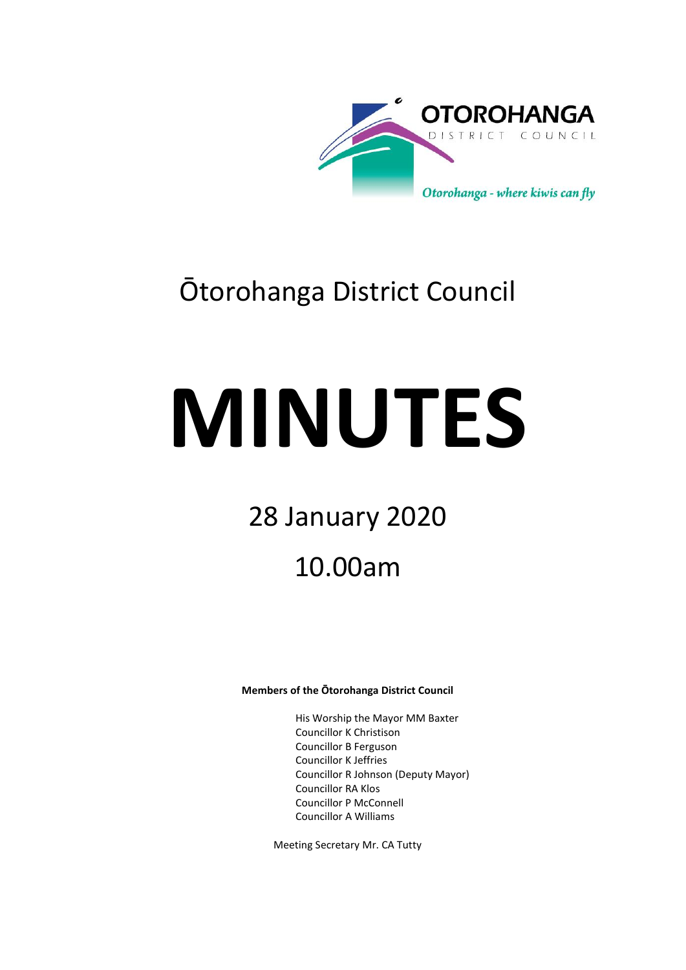

# Ōtorohanga District Council

# **MINUTES**

# 28 January 2020

# 10.00am

# **Members of the Ōtorohanga District Council**

His Worship the Mayor MM Baxter Councillor K Christison Councillor B Ferguson Councillor K Jeffries Councillor R Johnson (Deputy Mayor) Councillor RA Klos Councillor P McConnell Councillor A Williams

Meeting Secretary Mr. CA Tutty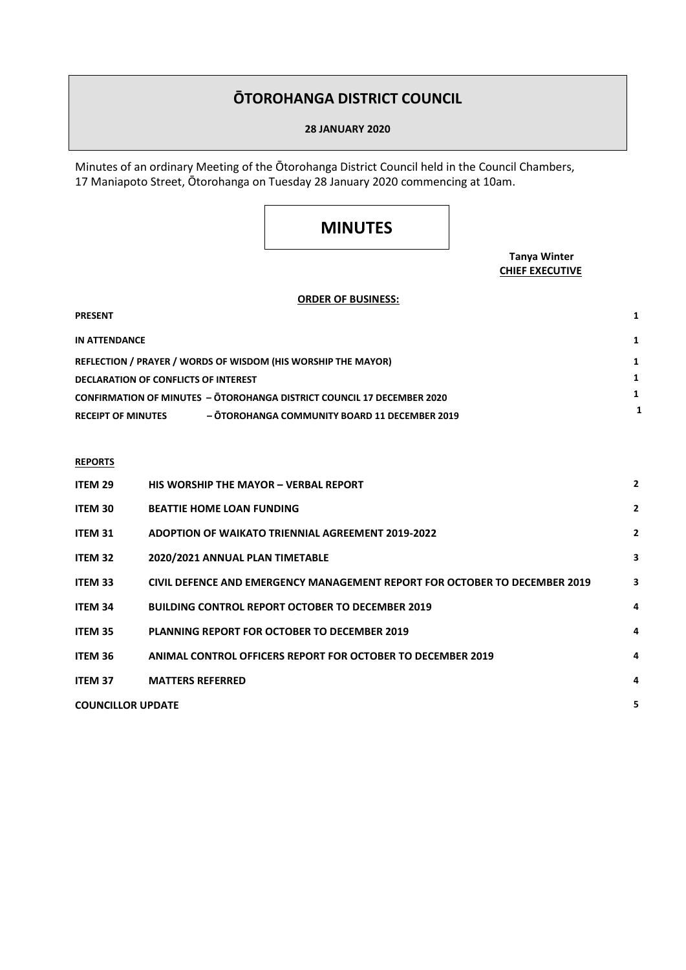# **ŌTOROHANGA DISTRICT COUNCIL**

# **28 JANUARY 2020**

Minutes of an ordinary Meeting of the Ōtorohanga District Council held in the Council Chambers, 17 Maniapoto Street, Ōtorohanga on Tuesday 28 January 2020 commencing at 10am.

# **MINUTES**

# **Tanya Winter CHIEF EXECUTIVE**

# **ORDER OF BUSINESS:**

| <b>PRESENT</b>                                                                |  |
|-------------------------------------------------------------------------------|--|
| IN ATTENDANCE                                                                 |  |
| REFLECTION / PRAYER / WORDS OF WISDOM (HIS WORSHIP THE MAYOR)                 |  |
| DECLARATION OF CONFLICTS OF INTEREST                                          |  |
| <b>CONFIRMATION OF MINUTES - OTOROHANGA DISTRICT COUNCIL 17 DECEMBER 2020</b> |  |
| - ŌTOROHANGA COMMUNITY BOARD 11 DECEMBER 2019<br><b>RECEIPT OF MINUTES</b>    |  |

# **REPORTS**

| ITEM 29                  | <b>HIS WORSHIP THE MAYOR - VERBAL REPORT</b>                               | $\overline{2}$ |
|--------------------------|----------------------------------------------------------------------------|----------------|
| <b>ITEM 30</b>           | <b>BEATTIE HOME LOAN FUNDING</b>                                           | $\overline{2}$ |
| <b>ITEM 31</b>           | <b>ADOPTION OF WAIKATO TRIENNIAL AGREEMENT 2019-2022</b>                   | $\overline{2}$ |
| <b>ITEM 32</b>           | 2020/2021 ANNUAL PLAN TIMETABLE                                            | 3              |
| <b>ITEM 33</b>           | CIVIL DEFENCE AND EMERGENCY MANAGEMENT REPORT FOR OCTOBER TO DECEMBER 2019 | 3              |
| <b>ITEM 34</b>           | <b>BUILDING CONTROL REPORT OCTOBER TO DECEMBER 2019</b>                    | 4              |
| <b>ITEM 35</b>           | <b>PLANNING REPORT FOR OCTOBER TO DECEMBER 2019</b>                        | 4              |
| ITEM 36                  | ANIMAL CONTROL OFFICERS REPORT FOR OCTOBER TO DECEMBER 2019                | 4              |
| <b>ITEM 37</b>           | <b>MATTERS REFERRED</b>                                                    | 4              |
| <b>COUNCILLOR UPDATE</b> |                                                                            | 5              |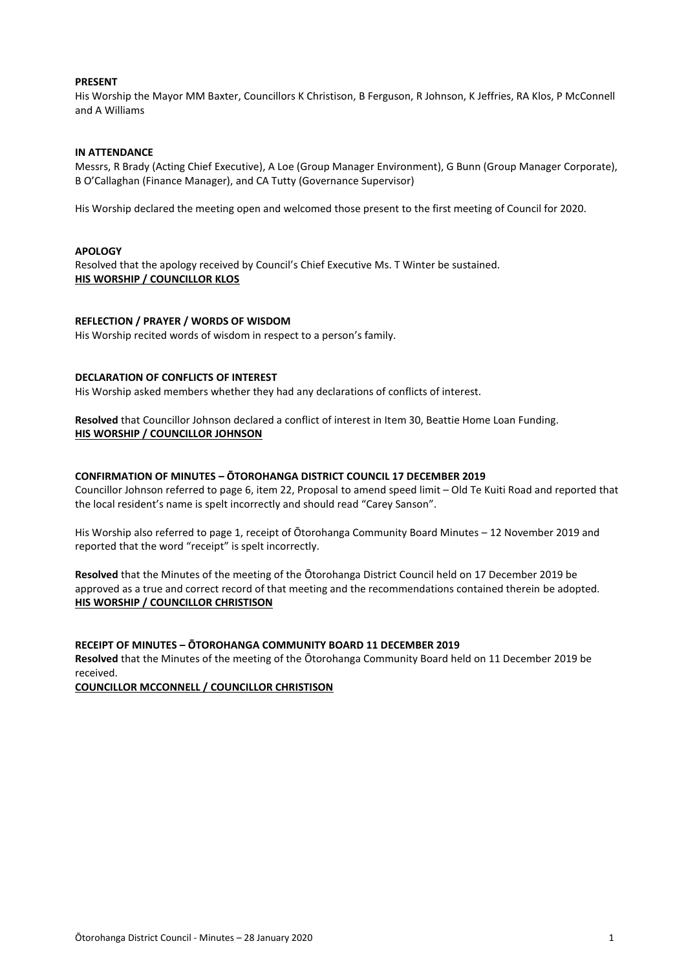# **PRESENT**

His Worship the Mayor MM Baxter, Councillors K Christison, B Ferguson, R Johnson, K Jeffries, RA Klos, P McConnell and A Williams

# **IN ATTENDANCE**

Messrs, R Brady (Acting Chief Executive), A Loe (Group Manager Environment), G Bunn (Group Manager Corporate), B O'Callaghan (Finance Manager), and CA Tutty (Governance Supervisor)

His Worship declared the meeting open and welcomed those present to the first meeting of Council for 2020.

# **APOLOGY**

Resolved that the apology received by Council's Chief Executive Ms. T Winter be sustained. **HIS WORSHIP / COUNCILLOR KLOS**

# **REFLECTION / PRAYER / WORDS OF WISDOM**

His Worship recited words of wisdom in respect to a person's family.

## **DECLARATION OF CONFLICTS OF INTEREST**

His Worship asked members whether they had any declarations of conflicts of interest.

**Resolved** that Councillor Johnson declared a conflict of interest in Item 30, Beattie Home Loan Funding. **HIS WORSHIP / COUNCILLOR JOHNSON**

# **CONFIRMATION OF MINUTES – ŌTOROHANGA DISTRICT COUNCIL 17 DECEMBER 2019**

Councillor Johnson referred to page 6, item 22, Proposal to amend speed limit – Old Te Kuiti Road and reported that the local resident's name is spelt incorrectly and should read "Carey Sanson".

His Worship also referred to page 1, receipt of Ōtorohanga Community Board Minutes – 12 November 2019 and reported that the word "receipt" is spelt incorrectly.

**Resolved** that the Minutes of the meeting of the Ōtorohanga District Council held on 17 December 2019 be approved as a true and correct record of that meeting and the recommendations contained therein be adopted. **HIS WORSHIP / COUNCILLOR CHRISTISON**

## **RECEIPT OF MINUTES – ŌTOROHANGA COMMUNITY BOARD 11 DECEMBER 2019**

**Resolved** that the Minutes of the meeting of the Ōtorohanga Community Board held on 11 December 2019 be received.

**COUNCILLOR MCCONNELL / COUNCILLOR CHRISTISON**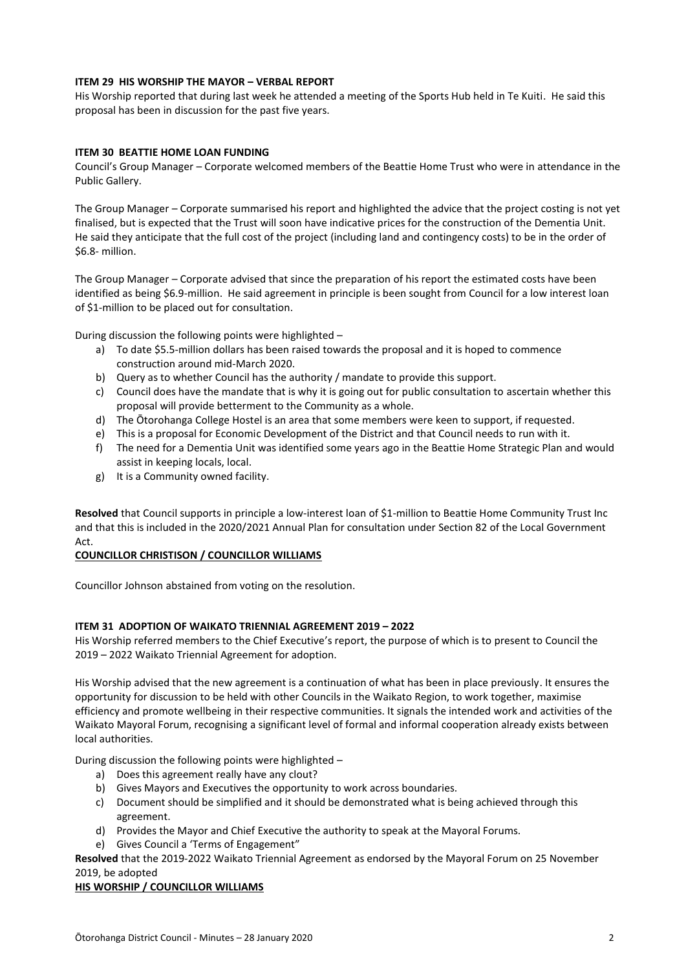# **ITEM 29 HIS WORSHIP THE MAYOR – VERBAL REPORT**

His Worship reported that during last week he attended a meeting of the Sports Hub held in Te Kuiti. He said this proposal has been in discussion for the past five years.

# **ITEM 30 BEATTIE HOME LOAN FUNDING**

Council's Group Manager – Corporate welcomed members of the Beattie Home Trust who were in attendance in the Public Gallery.

The Group Manager – Corporate summarised his report and highlighted the advice that the project costing is not yet finalised, but is expected that the Trust will soon have indicative prices for the construction of the Dementia Unit. He said they anticipate that the full cost of the project (including land and contingency costs) to be in the order of \$6.8- million.

The Group Manager – Corporate advised that since the preparation of his report the estimated costs have been identified as being \$6.9-million. He said agreement in principle is been sought from Council for a low interest loan of \$1-million to be placed out for consultation.

During discussion the following points were highlighted –

- a) To date \$5.5-million dollars has been raised towards the proposal and it is hoped to commence construction around mid-March 2020.
- b) Query as to whether Council has the authority / mandate to provide this support.
- c) Council does have the mandate that is why it is going out for public consultation to ascertain whether this proposal will provide betterment to the Community as a whole.
- d) The Ōtorohanga College Hostel is an area that some members were keen to support, if requested.
- e) This is a proposal for Economic Development of the District and that Council needs to run with it.
- f) The need for a Dementia Unit was identified some years ago in the Beattie Home Strategic Plan and would assist in keeping locals, local.
- g) It is a Community owned facility.

**Resolved** that Council supports in principle a low-interest loan of \$1-million to Beattie Home Community Trust Inc and that this is included in the 2020/2021 Annual Plan for consultation under Section 82 of the Local Government Act.

# **COUNCILLOR CHRISTISON / COUNCILLOR WILLIAMS**

Councillor Johnson abstained from voting on the resolution.

# **ITEM 31 ADOPTION OF WAIKATO TRIENNIAL AGREEMENT 2019 – 2022**

His Worship referred members to the Chief Executive's report, the purpose of which is to present to Council the 2019 – 2022 Waikato Triennial Agreement for adoption.

His Worship advised that the new agreement is a continuation of what has been in place previously. It ensures the opportunity for discussion to be held with other Councils in the Waikato Region, to work together, maximise efficiency and promote wellbeing in their respective communities. It signals the intended work and activities of the Waikato Mayoral Forum, recognising a significant level of formal and informal cooperation already exists between local authorities.

During discussion the following points were highlighted –

- a) Does this agreement really have any clout?
- b) Gives Mayors and Executives the opportunity to work across boundaries.
- c) Document should be simplified and it should be demonstrated what is being achieved through this agreement.
- d) Provides the Mayor and Chief Executive the authority to speak at the Mayoral Forums.
- e) Gives Council a 'Terms of Engagement"

**Resolved** that the 2019-2022 Waikato Triennial Agreement as endorsed by the Mayoral Forum on 25 November 2019, be adopted

# **HIS WORSHIP / COUNCILLOR WILLIAMS**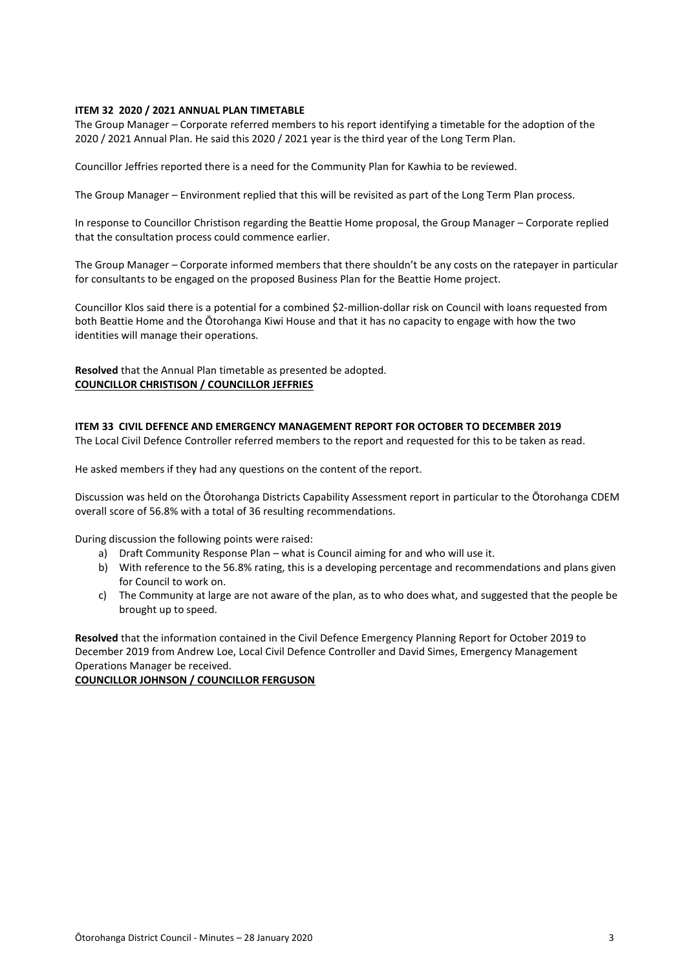# **ITEM 32 2020 / 2021 ANNUAL PLAN TIMETABLE**

The Group Manager – Corporate referred members to his report identifying a timetable for the adoption of the 2020 / 2021 Annual Plan. He said this 2020 / 2021 year is the third year of the Long Term Plan.

Councillor Jeffries reported there is a need for the Community Plan for Kawhia to be reviewed.

The Group Manager – Environment replied that this will be revisited as part of the Long Term Plan process.

In response to Councillor Christison regarding the Beattie Home proposal, the Group Manager – Corporate replied that the consultation process could commence earlier.

The Group Manager – Corporate informed members that there shouldn't be any costs on the ratepayer in particular for consultants to be engaged on the proposed Business Plan for the Beattie Home project.

Councillor Klos said there is a potential for a combined \$2-million-dollar risk on Council with loans requested from both Beattie Home and the Ōtorohanga Kiwi House and that it has no capacity to engage with how the two identities will manage their operations.

**Resolved** that the Annual Plan timetable as presented be adopted. **COUNCILLOR CHRISTISON / COUNCILLOR JEFFRIES**

**ITEM 33 CIVIL DEFENCE AND EMERGENCY MANAGEMENT REPORT FOR OCTOBER TO DECEMBER 2019** The Local Civil Defence Controller referred members to the report and requested for this to be taken as read.

He asked members if they had any questions on the content of the report.

Discussion was held on the Ōtorohanga Districts Capability Assessment report in particular to the Ōtorohanga CDEM overall score of 56.8% with a total of 36 resulting recommendations.

During discussion the following points were raised:

- a) Draft Community Response Plan what is Council aiming for and who will use it.
- b) With reference to the 56.8% rating, this is a developing percentage and recommendations and plans given for Council to work on.
- c) The Community at large are not aware of the plan, as to who does what, and suggested that the people be brought up to speed.

**Resolved** that the information contained in the Civil Defence Emergency Planning Report for October 2019 to December 2019 from Andrew Loe, Local Civil Defence Controller and David Simes, Emergency Management Operations Manager be received.

# **COUNCILLOR JOHNSON / COUNCILLOR FERGUSON**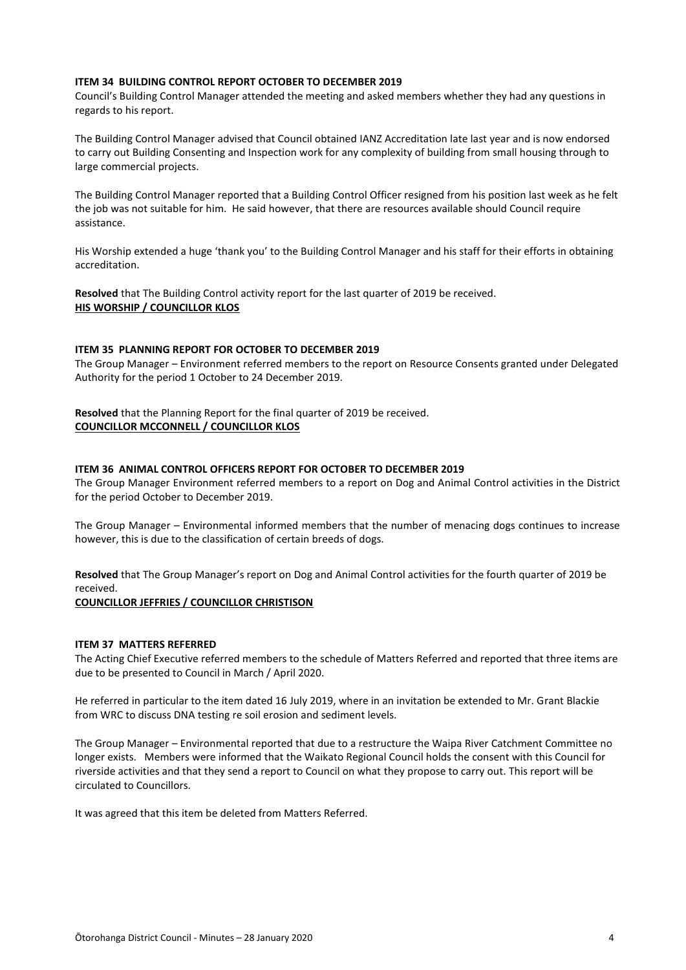# **ITEM 34 BUILDING CONTROL REPORT OCTOBER TO DECEMBER 2019**

Council's Building Control Manager attended the meeting and asked members whether they had any questions in regards to his report.

The Building Control Manager advised that Council obtained IANZ Accreditation late last year and is now endorsed to carry out Building Consenting and Inspection work for any complexity of building from small housing through to large commercial projects.

The Building Control Manager reported that a Building Control Officer resigned from his position last week as he felt the job was not suitable for him. He said however, that there are resources available should Council require assistance.

His Worship extended a huge 'thank you' to the Building Control Manager and his staff for their efforts in obtaining accreditation.

**Resolved** that The Building Control activity report for the last quarter of 2019 be received. **HIS WORSHIP / COUNCILLOR KLOS**

# **ITEM 35 PLANNING REPORT FOR OCTOBER TO DECEMBER 2019**

The Group Manager – Environment referred members to the report on Resource Consents granted under Delegated Authority for the period 1 October to 24 December 2019.

**Resolved** that the Planning Report for the final quarter of 2019 be received. **COUNCILLOR MCCONNELL / COUNCILLOR KLOS**

### **ITEM 36 ANIMAL CONTROL OFFICERS REPORT FOR OCTOBER TO DECEMBER 2019**

The Group Manager Environment referred members to a report on Dog and Animal Control activities in the District for the period October to December 2019.

The Group Manager – Environmental informed members that the number of menacing dogs continues to increase however, this is due to the classification of certain breeds of dogs.

**Resolved** that The Group Manager's report on Dog and Animal Control activities for the fourth quarter of 2019 be received.

### **COUNCILLOR JEFFRIES / COUNCILLOR CHRISTISON**

# **ITEM 37 MATTERS REFERRED**

The Acting Chief Executive referred members to the schedule of Matters Referred and reported that three items are due to be presented to Council in March / April 2020.

He referred in particular to the item dated 16 July 2019, where in an invitation be extended to Mr. Grant Blackie from WRC to discuss DNA testing re soil erosion and sediment levels.

The Group Manager – Environmental reported that due to a restructure the Waipa River Catchment Committee no longer exists. Members were informed that the Waikato Regional Council holds the consent with this Council for riverside activities and that they send a report to Council on what they propose to carry out. This report will be circulated to Councillors.

It was agreed that this item be deleted from Matters Referred.